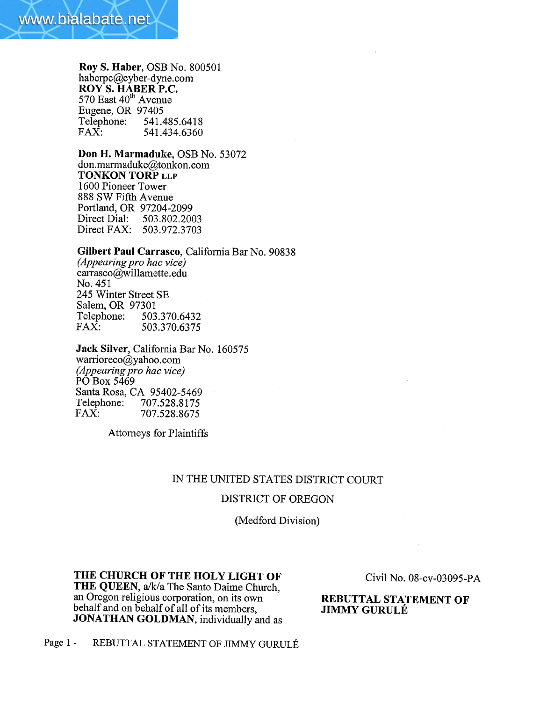

## Roy S. Haber, OSB No. 800501 haberpc@cyber-dyne.com ROY S. HABER P.C. 570 East 40<sup>th</sup> Avenue Eugene, OR 97405<br>Telephone: 541.4 Telephone: 541.485.6418<br>FAX: 541.434.6360 541.434.6360

Don H. Marmaduke, OSB No. 53072 don.marmaduke@tonkon.com TONKON TORP LLP 1600 Pioneer Tower 888 SW Fifth Avenue Portland, OR 97204-2099<br>Direct Dial: 503.802.200 503.802.2003 Direct FAX: 503.972.3703

# Gilbert Paul Carrasco, California Bar No. 90838

(Appearing pro hac vice) carrasco@willamette.edu No. 451 245 Winter Street SE Salem, OR 97301<br>Telephone: 503 Telephone: 503.370.6432<br>FAX: 503.370.6375 FAX: 503.370.6375

Jack Silver, California Bar No. 160575 warrioreco@yahoo.com (Appearing pro hac vice) PO Box 5469 Santa Rosa, CA 95402-5469 Telephone: 707.528.8175<br>FAX: 707.528.8675 FAX: 707.528.8675

Attorneys for Plaintiffs

## IN THE UNITED STATES DISTRICT COURT

#### DISTRICT OF OREGON

(Medford Division)

THE CHURCH OF THE HOLY LIGHT OF THE QUEEN, a/k/a The Santo Daime Church, an Oregon religious corporation, on its own behalf and on behalf of all of its members, JONATHAN GOLDMAN, individually and as

Civil No. 08-cv-03095-P A

REBUTTAL STATEMENT OF JIMMY GURULÉ

Page 1 - REBUTTAL STATEMENT OF JIMMY GURULÉ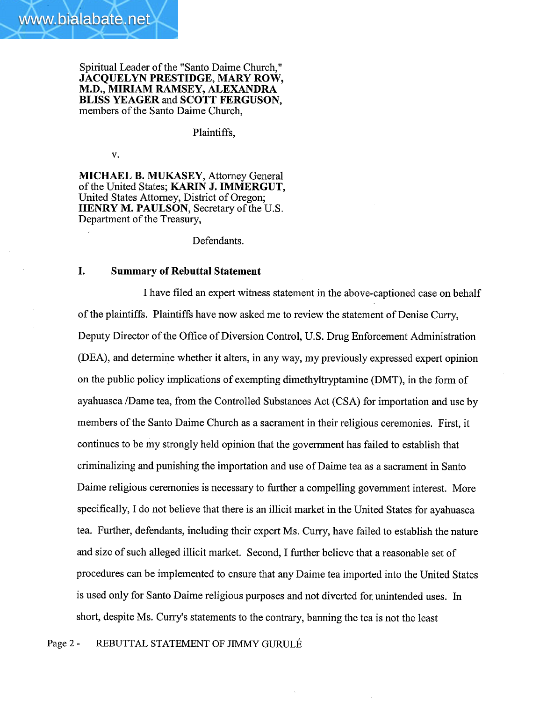Spiritual Leader of the "Santo Daime Church," JACQUELYN PRESTIDGE, MARY ROW, M.D., MIRIAM RAMSEY, ALEXADRA BLISS YEAGER and SCOTT FERGUSON, members of the Santo Daime Church,

## Plaintiffs,

v.

MICHAEL B. MUKASEY, Attorney General of the United States; KARIN J. IMMERGUT, United States Attorney, District of Oregon; HENRY M. PAULSON, Secretary of the U.S. Department of the Treasury,

Defendants.

## I. Summary of Rebuttal Statement

I have filed an expert witness statement in the above-captioned case on behalf of the plaintiffs. Plaintiffs have now asked me to review the statement of Denise Curry, Deputy Director of the Office of Diversion Control, U.S. Drug Enforcement Administration (DEA), and determine whether it alters, in any way, my previously expressed expert opinion on the public policy implications of exempting dimethyltryptamine (DMT), in the form of ayahuasca /Dame tea, from the Controlled Substances Act (CSA) for importation and use by members of the Santo Daime Church as a sacrament in their religious ceremonies. First, it continues to be my strongly held opinion that the government has failed to establish that criminalizing and punishing the importation and use of Daime tea as a sacrament in Santo Daime religious ceremonies is necessary to further a compelling government interest. More specifically, I do not believe that there is an ilicit market in the United States for ayahuasca tea. Further, defendants, including their expert Ms. Curry, have failed to establish the nature and size of such alleged ilicit market. Second, I further believe that a reasonable set of procedures can be implemented to ensure that any Daime tea imported into the United States is used only for Santo Daime religious purposes and not diverted for unintended uses. In short, despite Ms. Curry's statements to the contrary, banning the tea is not the least

Page 2 - REBUTIAL STATEMENT OF JIMMY GURULÉ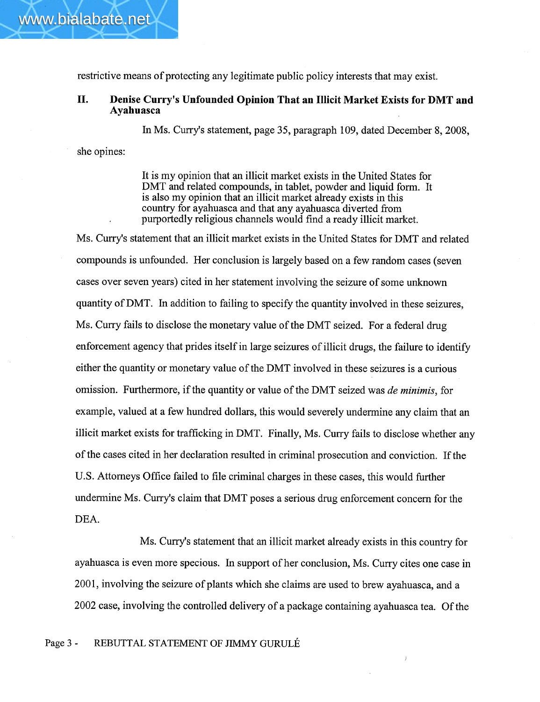restrictive means of protecting any legitimate public policy interests that may exist.

# II. Denise Curry's Unfounded Opinion That an Illicit Market Exists for DMT and Ayahuasca

In Ms. Curry's statement, page 35, paragraph 109, dated December 8, 2008,

she opines:

It is my opinion that an ilicit market exists in the United States for DMT and related compounds, in tablet, powder and liquid form. It is also my opinion that an ilicit market already exists in this country for ayahuasca and that any ayahuasca diverted from purportedly religious channels would find a ready ilicit market.

Ms. Curry's statement that an illicit market exists in the United States for DMT and related compounds is unfounded. Her conclusion is largely based on a few random cases (seven cases over seven years) cited in her statement involving the seizure of some unkown quantity ofDMT. In addition to failing to specify the quantity involved in these seizures, Ms. Curry fails to disclose the monetary value of the DMT seized. For a federal drug enforcement agency that prides itself in large seizures of ilicit drugs, the failure to identify either the quantity or monetary value of the DMT involved in these seizures is a curious omission. Furthermore, if the quantity or value of the DMT seized was de minimis, for example, valued at a few hundred dollars, this would severely undermine any claim that an ilicit market exists for trafficking in DMT. Finally, Ms. Curry fails to disclose whether any of the cases cited in her declaration resulted in criminal prosecution and conviction. If the U.S. Attorneys Office failed to file criminal charges in these cases, this would further undermine Ms. Curry's claim that DMT poses a serious drug enforcement concern for the DEA.

Ms. Curry's statement that an illicit market already exists in this country for ayahuasca is even more specious. In support of her conclusion, Ms. Curry cites one case in 2001, involving the seizure of plants which she claims are used to brew ayahuasca, and a 2002 case, involving the controlled delivery of a package containing ayahuasca tea. Of the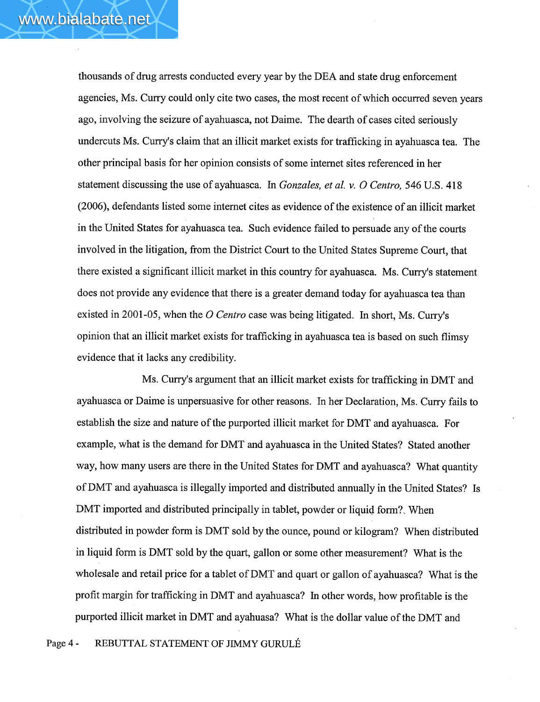thousands of drug arrests conducted every year by the DEA and state drug enforcement agencies, Ms. Curry could only cite two cases, the most recent of which occurred seven years ago, involving the seizure of ayahuasca, not Daime. The dearth of cases cited seriously undercuts Ms. Curry's claim that an illicit market exists for trafficking in ayahuasca tea. The other principal basis for her opinion consists of some internet sites referenced in her statement discussing the use of ayahuasca. In Gonzales, et al. v. O Centro, 546 U.S. 418 (2006), defendants listed some internet cites as evidence of the existence of an ilicit market in the United States for ayahuasca tea. Such evidence failed to persuade any of the courts involved in the litigation, from the District Court to the United States Supreme Court, that there existed a significant ilicit market in this country for ayahuasca. Ms. Curry's statement does not provide any evidence that there is a greater demand today for ayahuasca tea than existed in 2001-05, when the O Centro case was being litigated. In short, Ms. Curry's opinion that an ilicit market exists for trafficking in ayahuasca tea is based on such flmsy evidence that it lacks any credibility.

Ms. Curry's argument that an illicit market exists for trafficking in DMT and ayahuasca or Daime is unpersuasive for other reasons. In her Declaration, Ms. Curry fails to establish the size and nature of the purported illicit market for DMT and ayahuasca. For example, what is the demand for DMT and ayahuasca in the United States? Stated another way, how many users are there in the United States for DMT and ayahuasca? What quantity ofDMT and ayahuasca is ilegally imported and distributed annually in the United States? Is DMT imported and distributed principally in tablet, powder or liquid form?, When distributed in powder form is DMT sold by the ounce, pound or kilogram? When distributed in liquid form is DMT sold by the quart, gallon or some other measurement? What is the wholesale and retail price for a tablet of DMT and quart or gallon of ayahuasca? What is the profit margin for trafficking in DMT and ayahuasca? In other words, how profitable is the purported illicit market in DMT and ayahuasa? What is the dollar value of the DMT and

Page 4 - REBUTIAL STATEMENT OF JIMMY GURULÉ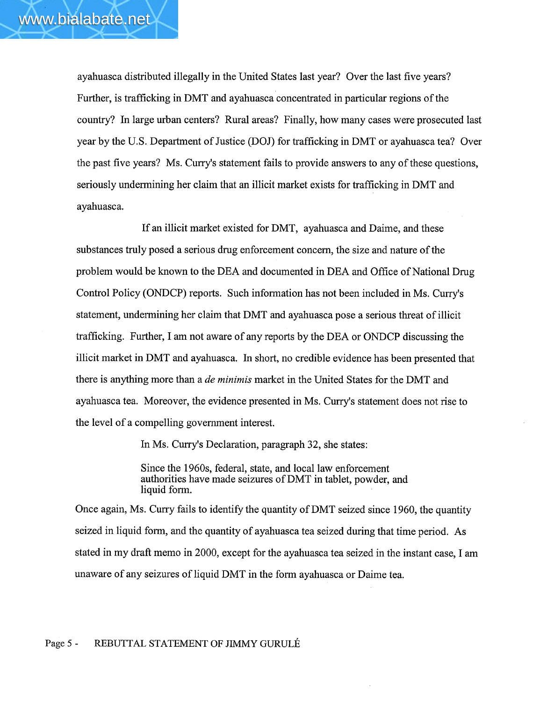ayahuasca distributed ilegally in the United States last year? Over the last five years? Further, is traffcking in DMT and ayahuasca concentrated in particular regions of the country? In large urban centers? Rural areas? Finally, how many cases were prosecuted last year by the U.S. Department of Justice (DOJ) for trafficking in DMT or ayahuasca tea? Over the past five years? Ms. Curry's statement fails to provide answers to any of these questions, seriously undermining her claim that an illicit market exists for trafficking in DMT and ayahuasca.

If an ilicit market existed for DMT, ayahuasca and Daime, and these substances truly posed a serious drug enforcement concern, the size and nature of the problem would be known to the DEA and documented in DEA and Office of National Drug Control Policy (ONDCP) reports. Such information has not been included in Ms. Curry's statement, undermining her claim that DMT and ayahuasca pose a serious threat of ilicit trafficking. Further, I am not aware of any reports by the DEA or ONDCP discussing the illicit market in DMT and ayahuasca. In short, no credible evidence has been presented that there is anything more than a *de minimis* market in the United States for the DMT and ayahuasca tea. Moreover, the evidence presented in Ms. Curry's statement does not rise to the level of a compelling government interest.

In Ms. Cury's Declaration, paragraph 32, she states:

Since the 1960s, federal, state, and local law enforcement authorities have made seizures ofDMT in tablet, powder, and liquid form.

Once again, Ms. Curry fails to identify the quantity of DMT seized since 1960, the quantity seized in liquid form, and the quantity of ayahuasca tea seized during that time period. As stated in my draft memo in 2000, except for the ayahuasca tea seized in the instant case, I am unaware of any seizures of liquid DMT in the form ayahuasca or Daime tea.

### Page 5 - REBUTIAL STATEMENT OF JIMMY GURULÉ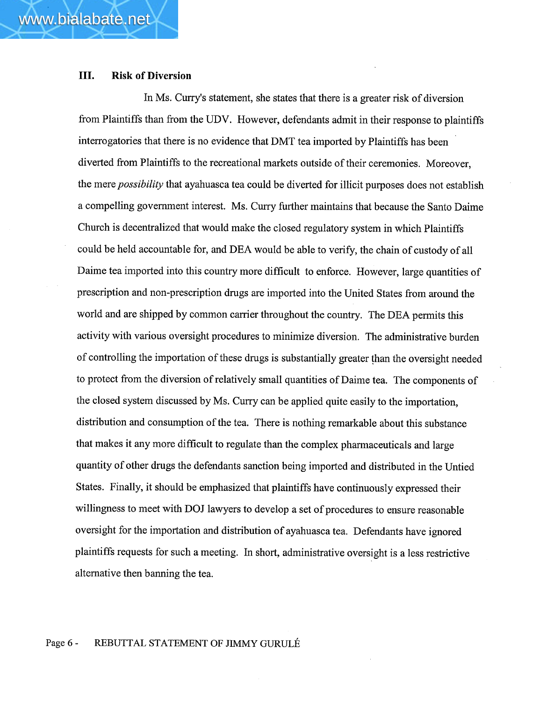www.bialabate.net

In Ms. Curry's statement, she states that there is a greater risk of diversion from Plaintiffs than from the UDV. However, defendants admit in their response to plaintiffs interrogatories that there is no evidence that DMT tea imported by Plaintiffs has been diverted from Plaintiffs to the recreational markets outside of their ceremonies. Moreover, the mere possibilty that ayahuasca tea could be diverted for ilicit purposes does not establish a compellng governent interest. Ms. Cury further maintains that because the Santo Daime Church is decentralized that would make the closed regulatory system in which Plaintiffs could be held accountable for, and DEA would be able to verify, the chain of custody of all Daime tea imported into this country more difficult to enforce. However, large quantities of prescription and non-prescription drugs are imported into the United States from around the world and are shipped by common carrier throughout the country. The DEA permits this activity with various oversight procedures to minimize diversion. The administrative burden of controllng the importation of these drugs is substantially greater than the oversight needed to protect from the diversion of relatively small quantities of Daime tea. The components of the closed system discussed by Ms. Curry can be applied quite easily to the importation, distribution and consumption of the tea. There is nothing remarkable about this substance that makes it any more difficult to regulate than the complex pharmaceuticals and large quantity of other drugs the defendants sanction being imported and distributed in the Untied States. Finally, it should be emphasized that plaintiffs have continuously expressed their willingness to meet with DOJ lawyers to develop a set of procedures to ensure reasonable oversight for the importation and distribution of ayahuasca tea. Defendants have ignored plaintiffs requests for such a meeting. In short, administrative oversight is a less restrictive alternative then banning the tea.

#### Page 6 - REBUTIAL STATEMENT OF JIMMY GURULÉ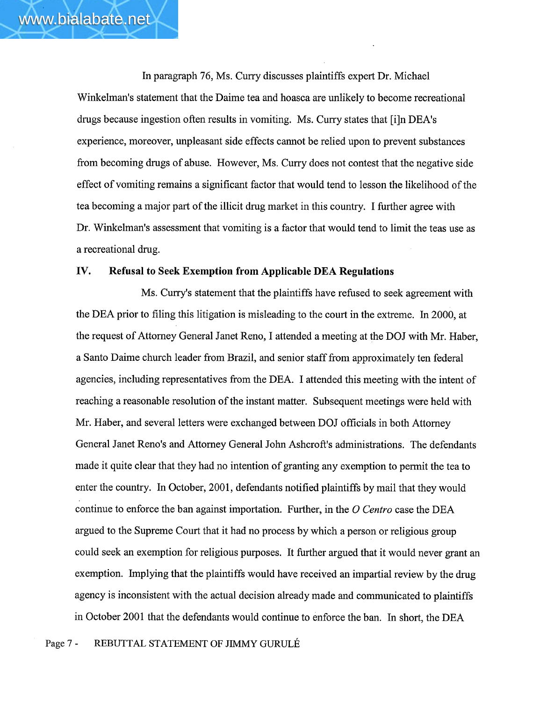In paragraph 76, Ms. Cury discusses plaintiffs expert Dr. Michael Winkelman's statement that the Daime tea and hoasca are unlikely to become recreational drugs because ingestion often results in vomiting. Ms. Curry states that [i]n DEA's experience, moreover, unpleasant side effects cannot be relied upon to prevent substances from becoming drugs of abuse. However, Ms. Curry does not contest that the negative side effect of vomiting remains a significant factor that would tend to lesson the likelihood of the tea becoming a major part of the illicit drug market in this country. I further agree with Dr. Winkelman's assessment that vomiting is a factor that would tend to limit the teas use as a recreational drug.

## IV. Refusal to Seek Exemption from Applicable DEA Regulations

Ms. Curry's statement that the plaintiffs have refused to seek agreement with the DEA prior to filing this litigation is misleading to the court in the extreme. In 2000, at the request of Attorney General Janet Reno, I attended a meeting at the DOJ with Mr. Haber, a Santo Daime church leader from Brazil, and senior staff from approximately ten federal agencies, including representatives from the DEA. I attended this meeting with the intent of reaching a reasonable resolution of the instant matter. Subsequent meetings were held with Mr. Haber, and several letters were exchanged between DOJ officials in both Attorney General Janet Reno's and Attorney General John Ashcroft's administrations. The defendants made it quite clear that they had no intention of granting any exemption to permit the tea to enter the country. In October, 2001, defendants notified plaintiffs by mail that they would continue to enforce the ban against importation. Further, in the  $O$  Centro case the DEA argued to the Supreme Court that it had no process by which a person or religious group could seek an exemption for religious purposes. It further argued that it would never grant an exemption. Implying that the plaintiffs would have received an impartial review by the drug agency is inconsistent with the actual decision already made and communicated to plaintiffs in October 2001 that the defendants would continue to enforce the ban. In short, the DEA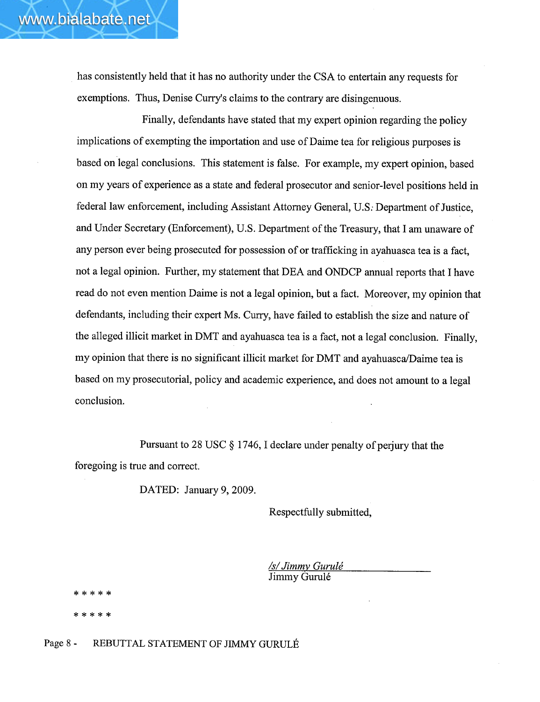has consistently held that it has no authority under the CSA to entertain any requests for exemptions. Thus, Denise Curry's claims to the contrary are disingenuous.

Finally, defendants have stated that my expert opinion regarding the policy implications of exempting the importation and use of Daime tea for religious purposes is based on legal conclusions. This statement is false. For example, my expert opinion, based on my years of experience as a state and federal prosecutor and senior-level positions held in federal law enforcement, including Assistant Attorney General, U.S: Department of Justice, and Under Secretary (Enforcement), U.S. Department of the Treasury, that I am unaware of any person ever being prosecuted for possession of or trafficking in ayahuasca tea is a fact, not a legal opinion. Further, my statement that DEA and ONDCP annual reports that I have read do not even mention Daime is not a legal opinion, but a fact. Moreover, my opinion that defendants, including their expert Ms. Curry, have failed to establish the size and nature of the alleged ilicit market in DMT and ayahuasca tea is a fact, not a legal conclusion. Finally, my opinion that there is no significant illicit market for DMT and ayahuasca/Daime tea is based on my prosecutorial, policy and academic experience, and does not amount to a legal conclusion.

Pursuant to 28 USC  $\S$  1746, I declare under penalty of perjury that the foregoing is true and correct.

DATED: January 9, 2009.

Respectfully submitted,

<u>/s/ Jimmy Gurulé</u> Jimmy Gurulé

\* \* \* \* \* \* \* \* \* \*

Page 8 - REBUTIAL STATEMENT OF JIMMY GURULÉ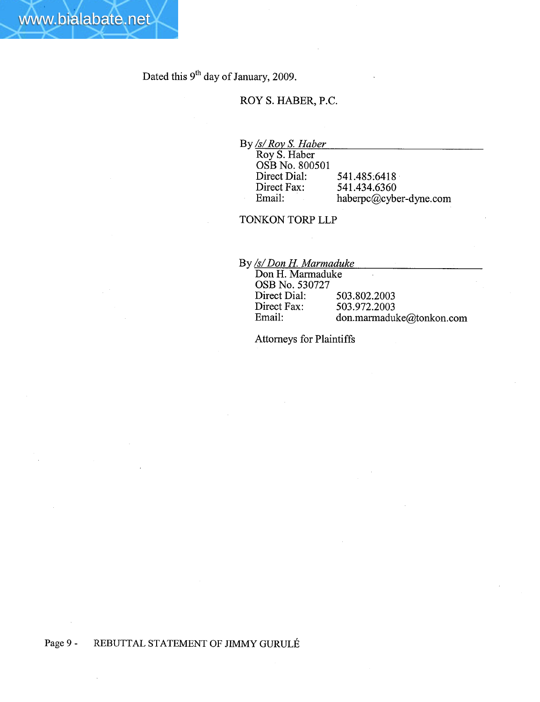www.bialabate.net

# ROY S. HABER, P.C.

By <u>/s/ Roy S. Haber</u>

Roy S. Haber OSB No. 800501 Direct Dial: Direct Fax: Email: 541.485:6418 541.434.6360 haberpc@cyber-dyne.com

# TONKON TORP LLP

By /s/ Don H. Marmaduke

| Don H. Marmaduke |                          |
|------------------|--------------------------|
| OSB No. 530727   |                          |
| Direct Dial:     | 503.802.2003             |
| Direct Fax:      | 503.972.2003             |
| Email:           | don.marmaduke@tonkon.com |

Attorneys for Plaintiffs

# Page 9 - REBUTIAL STATEMENT OF JIMMY GURULÉ